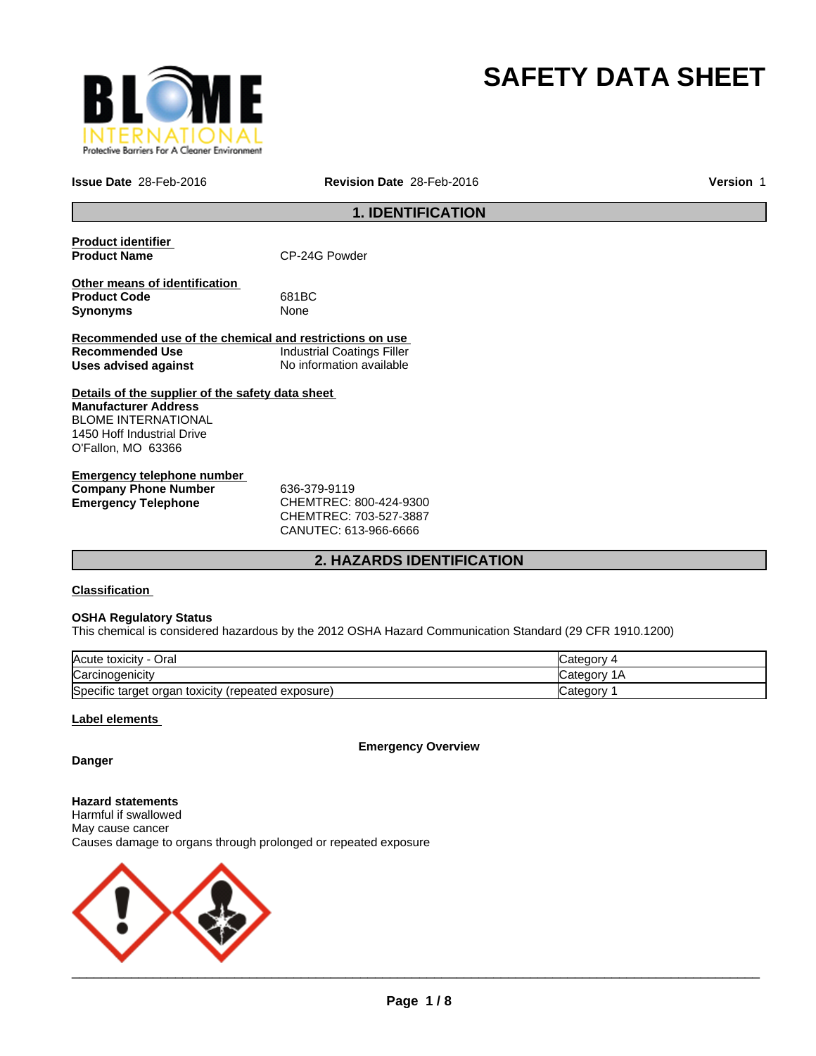

# **SAFETY DATA SHEET**

**Issue Date** 28-Feb-2016 **Revision Date** 28-Feb-2016 **Version** 1

# **1. IDENTIFICATION**

| <b>Product identifier</b>                               |                                   |
|---------------------------------------------------------|-----------------------------------|
| <b>Product Name</b>                                     | CP-24G Powder                     |
|                                                         |                                   |
| Other means of identification                           |                                   |
| <b>Product Code</b>                                     | 681BC                             |
| <b>Synonyms</b>                                         | None                              |
|                                                         |                                   |
| Recommended use of the chemical and restrictions on use |                                   |
| <b>Recommended Use</b>                                  | <b>Industrial Coatings Filler</b> |
| Uses advised against                                    | No information available          |
|                                                         |                                   |
| Details of the supplier of the safety data sheet        |                                   |
| <b>Manufacturer Address</b>                             |                                   |
| <b>BLOME INTERNATIONAL</b>                              |                                   |
| 1450 Hoff Industrial Drive                              |                                   |
| O'Fallon, MO 63366                                      |                                   |
|                                                         |                                   |
| Emergency telephone number                              |                                   |

| Elliergency telephone humber |                        |  |
|------------------------------|------------------------|--|
| <b>Company Phone Number</b>  | 636-379-9119           |  |
| Emergency Telephone          | CHEMTREC: 800-424-9300 |  |
|                              | CHEMTREC: 703-527-3887 |  |

CANUTEC: 613-966-6666

# **2. HAZARDS IDENTIFICATION**

# **Classification**

#### **OSHA Regulatory Status**

This chemical is considered hazardous by the 2012 OSHA Hazard Communication Standard (29 CFR 1910.1200)

| Acute toxicity - Oral                                 |                |
|-------------------------------------------------------|----------------|
| Carcinogenicity                                       | 1Α<br>∵ategorن |
| Specific target organ toxicity<br>(repeated exposure) |                |

## **Label elements**

**Emergency Overview**

**Danger**

**Hazard statements** Harmful if swallowed May cause cancer Causes damage to organs through prolonged or repeated exposure

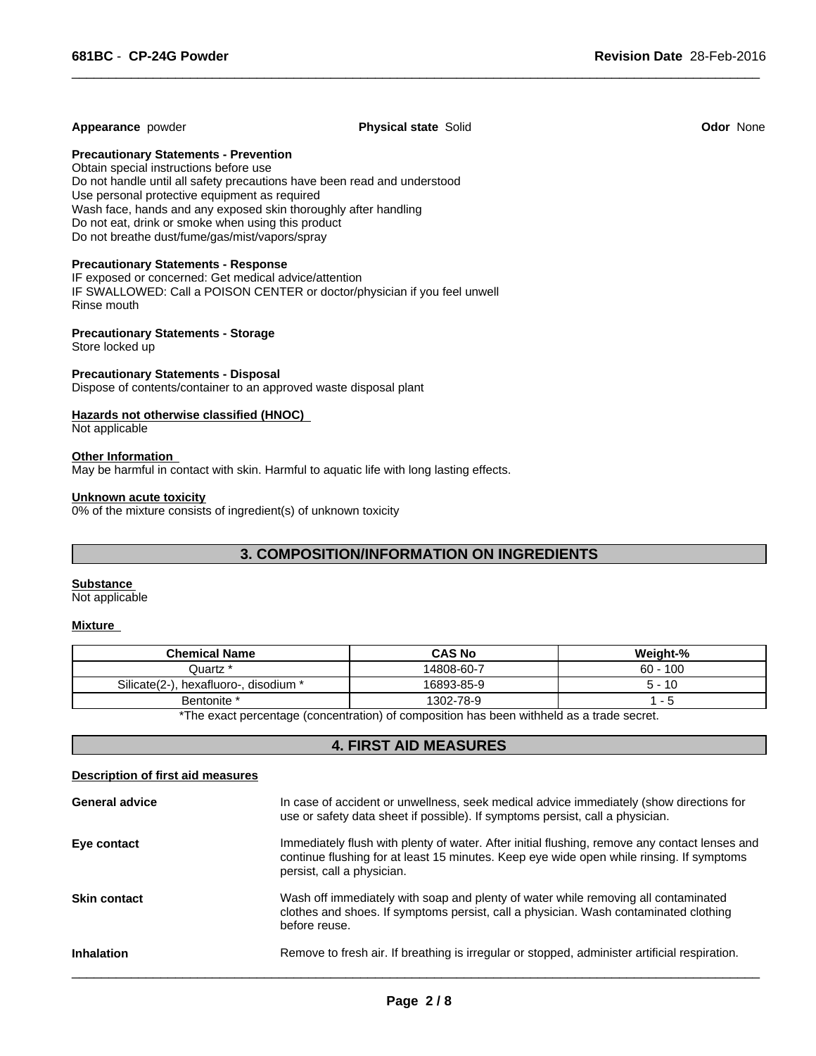#### **Appearance** powder **Physical state** Solid **Odor** None

 $\overline{\phantom{a}}$  ,  $\overline{\phantom{a}}$  ,  $\overline{\phantom{a}}$  ,  $\overline{\phantom{a}}$  ,  $\overline{\phantom{a}}$  ,  $\overline{\phantom{a}}$  ,  $\overline{\phantom{a}}$  ,  $\overline{\phantom{a}}$  ,  $\overline{\phantom{a}}$  ,  $\overline{\phantom{a}}$  ,  $\overline{\phantom{a}}$  ,  $\overline{\phantom{a}}$  ,  $\overline{\phantom{a}}$  ,  $\overline{\phantom{a}}$  ,  $\overline{\phantom{a}}$  ,  $\overline{\phantom{a}}$ 

#### **Precautionary Statements - Prevention**

Obtain special instructions before use Do not handle until all safety precautions have been read and understood Use personal protective equipment as required Wash face, hands and any exposed skin thoroughly after handling Do not eat, drink or smoke when using this product Do not breathe dust/fume/gas/mist/vapors/spray

#### **Precautionary Statements - Response**

IF exposed or concerned: Get medical advice/attention IF SWALLOWED: Call a POISON CENTER or doctor/physician if you feel unwell Rinse mouth

#### **Precautionary Statements - Storage**

Store locked up

#### **Precautionary Statements - Disposal**

Dispose of contents/container to an approved waste disposal plant

#### **Hazards not otherwise classified (HNOC)**

Not applicable

#### **Other Information**

May be harmful in contact with skin. Harmful to aquatic life with long lasting effects.

#### **Unknown acute toxicity**

0% of the mixture consists of ingredient(s) of unknown toxicity

# **3. COMPOSITION/INFORMATION ON INGREDIENTS**

#### **Substance**

Not applicable

#### **Mixture**

| <b>Chemical Name</b>                                                                                             | <b>CAS No</b> | Weight-%   |  |
|------------------------------------------------------------------------------------------------------------------|---------------|------------|--|
| Quartz *                                                                                                         | 14808-60-7    | $60 - 100$ |  |
| Silicate(2-).<br>. hexafluoro-. disodium *                                                                       | 16893-85-9    | $5 - 10$   |  |
| Bentonite *                                                                                                      | 1302-78-9     | - 5        |  |
| . ₩⊤bis is a comparable of the comparative Nick comparable of bis bis an additional discussion of the comparable |               |            |  |

The exact percentage (concentration) of composition has been withheld as a trade secret.

### **4. FIRST AID MEASURES**

#### **Description of first aid measures**

| <b>General advice</b> | In case of accident or unwellness, seek medical advice immediately (show directions for<br>use or safety data sheet if possible). If symptoms persist, call a physician.                                                |
|-----------------------|-------------------------------------------------------------------------------------------------------------------------------------------------------------------------------------------------------------------------|
| Eye contact           | Immediately flush with plenty of water. After initial flushing, remove any contact lenses and<br>continue flushing for at least 15 minutes. Keep eye wide open while rinsing. If symptoms<br>persist, call a physician. |
| <b>Skin contact</b>   | Wash off immediately with soap and plenty of water while removing all contaminated<br>clothes and shoes. If symptoms persist, call a physician. Wash contaminated clothing<br>before reuse.                             |
| <b>Inhalation</b>     | Remove to fresh air. If breathing is irregular or stopped, administer artificial respiration.                                                                                                                           |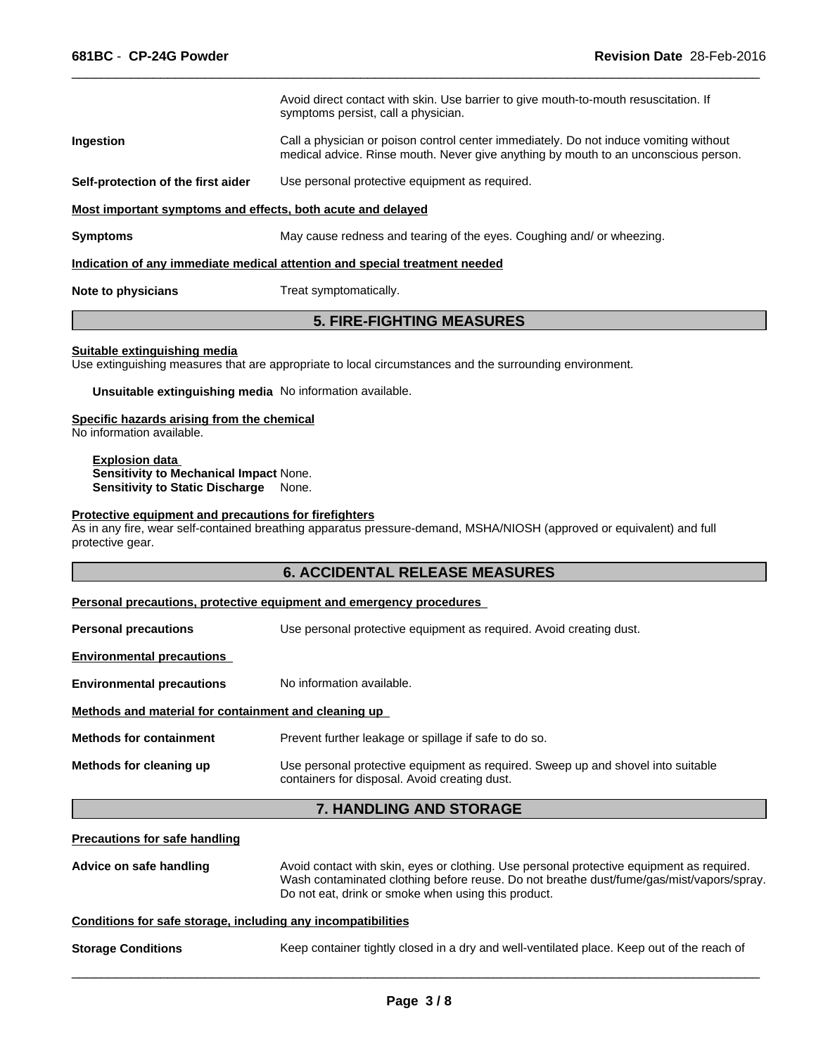|                                                             | Avoid direct contact with skin. Use barrier to give mouth-to-mouth resuscitation. If<br>symptoms persist, call a physician.                                                  |
|-------------------------------------------------------------|------------------------------------------------------------------------------------------------------------------------------------------------------------------------------|
| Ingestion                                                   | Call a physician or poison control center immediately. Do not induce vomiting without<br>medical advice. Rinse mouth. Never give anything by mouth to an unconscious person. |
| Self-protection of the first aider                          | Use personal protective equipment as required.                                                                                                                               |
| Most important symptoms and effects, both acute and delayed |                                                                                                                                                                              |
| <b>Symptoms</b>                                             | May cause redness and tearing of the eyes. Coughing and/ or wheezing.                                                                                                        |
|                                                             | Indication of any immediate medical attention and special treatment needed                                                                                                   |

 $\overline{\phantom{a}}$  ,  $\overline{\phantom{a}}$  ,  $\overline{\phantom{a}}$  ,  $\overline{\phantom{a}}$  ,  $\overline{\phantom{a}}$  ,  $\overline{\phantom{a}}$  ,  $\overline{\phantom{a}}$  ,  $\overline{\phantom{a}}$  ,  $\overline{\phantom{a}}$  ,  $\overline{\phantom{a}}$  ,  $\overline{\phantom{a}}$  ,  $\overline{\phantom{a}}$  ,  $\overline{\phantom{a}}$  ,  $\overline{\phantom{a}}$  ,  $\overline{\phantom{a}}$  ,  $\overline{\phantom{a}}$ 

**Note to physicians** Treat symptomatically.

# **5. FIRE-FIGHTING MEASURES**

#### **Suitable extinguishing media**

Use extinguishing measures that are appropriate to local circumstances and the surrounding environment.

**Unsuitable extinguishing media** No information available.

#### **Specific hazards arising from the chemical**

No information available.

**Explosion data Sensitivity to Mechanical Impact** None. **Sensitivity to Static Discharge** None.

# **Protective equipment and precautions for firefighters**

As in any fire, wear self-contained breathing apparatus pressure-demand, MSHA/NIOSH (approved or equivalent) and full protective gear.

|                                                                                         | <b>6. ACCIDENTAL RELEASE MEASURES</b>                                                                                             |  |
|-----------------------------------------------------------------------------------------|-----------------------------------------------------------------------------------------------------------------------------------|--|
|                                                                                         | <b>Personal precautions, protective equipment and emergency procedures</b>                                                        |  |
| <b>Personal precautions</b>                                                             | Use personal protective equipment as required. Avoid creating dust.                                                               |  |
| <b>Environmental precautions</b>                                                        |                                                                                                                                   |  |
| <b>Environmental precautions</b>                                                        | No information available.                                                                                                         |  |
| Methods and material for containment and cleaning up                                    |                                                                                                                                   |  |
| <b>Methods for containment</b><br>Prevent further leakage or spillage if safe to do so. |                                                                                                                                   |  |
| Methods for cleaning up                                                                 | Use personal protective equipment as required. Sweep up and shovel into suitable<br>containers for disposal. Avoid creating dust. |  |
|                                                                                         | 7. HANDLING AND STORAGE                                                                                                           |  |
| <b>Precautions for safe handling</b>                                                    |                                                                                                                                   |  |

| Advice on safe handling | Avoid contact with skin, eyes or clothing. Use personal protective equipment as required.<br>Wash contaminated clothing before reuse. Do not breathe dust/fume/gas/mist/vapors/spray.<br>Do not eat, drink or smoke when using this product. |
|-------------------------|----------------------------------------------------------------------------------------------------------------------------------------------------------------------------------------------------------------------------------------------|
|                         | Canditions for oafs sterage, including ony incompatibilities                                                                                                                                                                                 |

#### **Conditions for safe storage, including any incompatibilities**

| <b>Storage Conditions</b> | Keep container tightly closed in a dry and well-ventilated place. Keep out of the reach of |
|---------------------------|--------------------------------------------------------------------------------------------|
|                           |                                                                                            |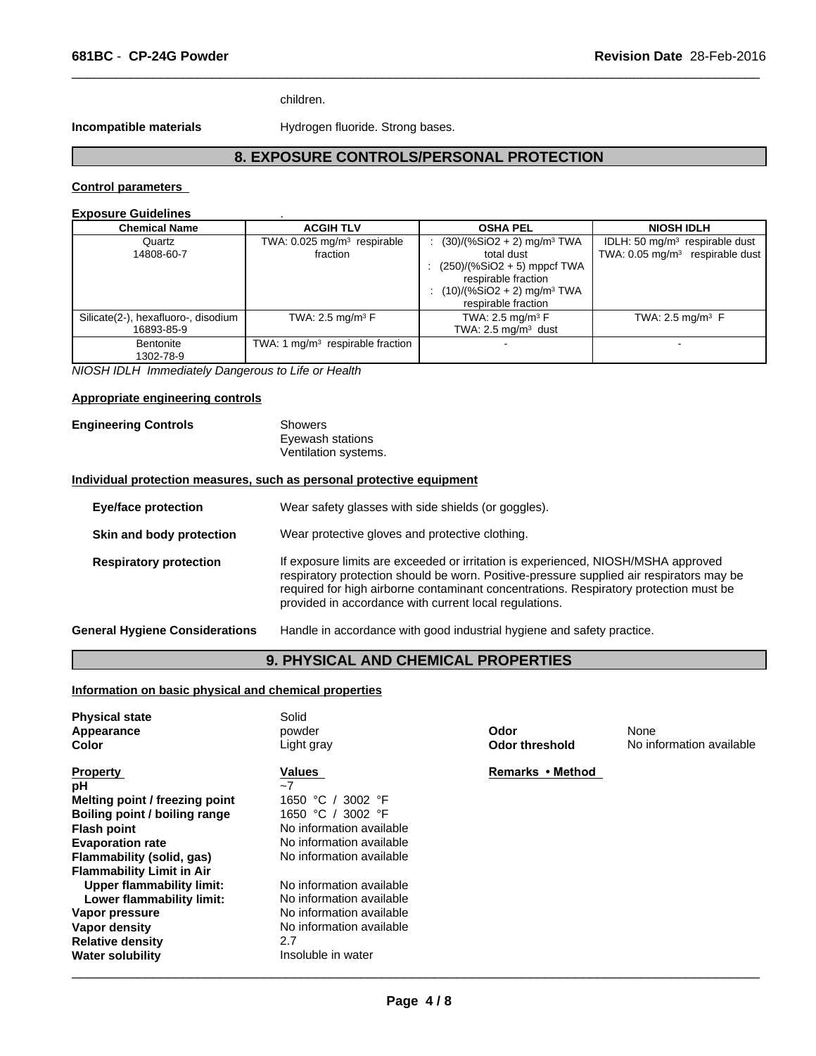children.

**Incompatible materials Hydrogen fluoride. Strong bases.** 

# **8. EXPOSURE CONTROLS/PERSONAL PROTECTION**

 $\overline{\phantom{a}}$  ,  $\overline{\phantom{a}}$  ,  $\overline{\phantom{a}}$  ,  $\overline{\phantom{a}}$  ,  $\overline{\phantom{a}}$  ,  $\overline{\phantom{a}}$  ,  $\overline{\phantom{a}}$  ,  $\overline{\phantom{a}}$  ,  $\overline{\phantom{a}}$  ,  $\overline{\phantom{a}}$  ,  $\overline{\phantom{a}}$  ,  $\overline{\phantom{a}}$  ,  $\overline{\phantom{a}}$  ,  $\overline{\phantom{a}}$  ,  $\overline{\phantom{a}}$  ,  $\overline{\phantom{a}}$ 

#### **Control parameters**

# **Exposure Guidelines** .

| <b>Chemical Name</b>                              | <b>ACGIH TLV</b>                                    | <b>OSHA PEL</b>                                                                                                                                                                     | <b>NIOSH IDLH</b>                                                                 |
|---------------------------------------------------|-----------------------------------------------------|-------------------------------------------------------------------------------------------------------------------------------------------------------------------------------------|-----------------------------------------------------------------------------------|
| Quartz<br>14808-60-7                              | TWA: 0.025 mg/m <sup>3</sup> respirable<br>fraction | $(30)/(%SiO2 + 2)$ mg/m <sup>3</sup> TWA<br>total dust<br>: $(250)/(%SiO2 + 5)$ mppcf TWA<br>respirable fraction<br>$(10)/(%SiO2 + 2)$ mg/m <sup>3</sup> TWA<br>respirable fraction | IDLH: 50 $mq/m3$ respirable dust<br>TWA: $0.05$ mg/m <sup>3</sup> respirable dust |
| Silicate(2-), hexafluoro-, disodium<br>16893-85-9 | TWA: 2.5 mg/m <sup>3</sup> $F$                      | TWA: 2.5 mg/m <sup>3</sup> $F$<br>TWA: $2.5 \text{ mg/m}^3$ dust                                                                                                                    | TWA: 2.5 mg/m <sup>3</sup> $F$                                                    |
| Bentonite<br>1302-78-9                            | TWA: 1 $mq/m3$ respirable fraction                  | $\blacksquare$                                                                                                                                                                      |                                                                                   |

*NIOSH IDLH Immediately Dangerous to Life or Health*

# **Appropriate engineering controls**

| <b>Engineering Controls</b> | Showers              |  |
|-----------------------------|----------------------|--|
|                             | Eyewash stations     |  |
|                             | Ventilation systems. |  |

#### **Individual protection measures, such as personal protective equipment**

| <b>Eye/face protection</b>            | Wear safety glasses with side shields (or goggles).                                                                                                                                                                                                                                                                              |
|---------------------------------------|----------------------------------------------------------------------------------------------------------------------------------------------------------------------------------------------------------------------------------------------------------------------------------------------------------------------------------|
| Skin and body protection              | Wear protective gloves and protective clothing.                                                                                                                                                                                                                                                                                  |
| <b>Respiratory protection</b>         | If exposure limits are exceeded or irritation is experienced, NIOSH/MSHA approved<br>respiratory protection should be worn. Positive-pressure supplied air respirators may be<br>required for high airborne contaminant concentrations. Respiratory protection must be<br>provided in accordance with current local regulations. |
| <b>General Hygiene Considerations</b> | Handle in accordance with good industrial hygiene and safety practice.                                                                                                                                                                                                                                                           |

# **9. PHYSICAL AND CHEMICAL PROPERTIES**

# **Information on basic physical and chemical properties**

| <b>Physical state</b><br>Appearance<br>Color | Solid<br>powder<br>Light gray | Odor<br>Odor threshold | None<br>No information available |
|----------------------------------------------|-------------------------------|------------------------|----------------------------------|
| <b>Property</b>                              | <b>Values</b>                 | Remarks • Method       |                                  |
| рH                                           | $-7$                          |                        |                                  |
| Melting point / freezing point               | 1650 °C<br>3002 $\degree$ F   |                        |                                  |
| Boiling point / boiling range                | 3002 °F<br>1650 °C            |                        |                                  |
| <b>Flash point</b>                           | No information available      |                        |                                  |
| <b>Evaporation rate</b>                      | No information available      |                        |                                  |
| Flammability (solid, gas)                    | No information available      |                        |                                  |
| <b>Flammability Limit in Air</b>             |                               |                        |                                  |
| Upper flammability limit:                    | No information available      |                        |                                  |
| Lower flammability limit:                    | No information available      |                        |                                  |
| Vapor pressure                               | No information available      |                        |                                  |
| Vapor density                                | No information available      |                        |                                  |
| <b>Relative density</b>                      | 2.7                           |                        |                                  |
| <b>Water solubility</b>                      | Insoluble in water            |                        |                                  |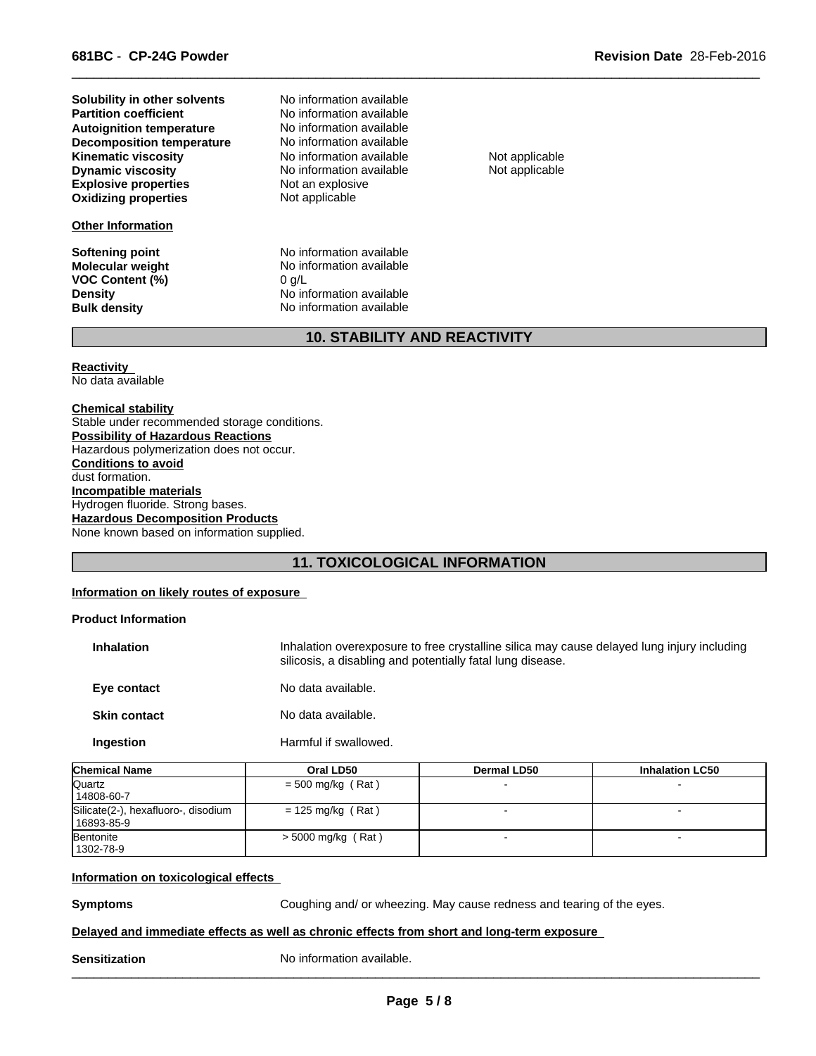**Explosive properties** Not an explosive<br> **Oxidizing properties** Not applicable **Oxidizing properties Dynamic viscosity No information available** Not applicable **Solubility in other solvents Autoignition temperature** No information available<br> **Decomposition temperature** No information available **Decomposition temperature Kinematic viscosity** No information available Not applicable

#### **Other Information**

**VOC Content (%)** 0 g/L<br>**Density** No in

No information available **No information available** 

**Softening point No information available**<br> **Molecular weight No information available No information available Density Density Density Research Allen Montanager and No information available Bulk density No information available No information available** 

 $\overline{\phantom{a}}$  ,  $\overline{\phantom{a}}$  ,  $\overline{\phantom{a}}$  ,  $\overline{\phantom{a}}$  ,  $\overline{\phantom{a}}$  ,  $\overline{\phantom{a}}$  ,  $\overline{\phantom{a}}$  ,  $\overline{\phantom{a}}$  ,  $\overline{\phantom{a}}$  ,  $\overline{\phantom{a}}$  ,  $\overline{\phantom{a}}$  ,  $\overline{\phantom{a}}$  ,  $\overline{\phantom{a}}$  ,  $\overline{\phantom{a}}$  ,  $\overline{\phantom{a}}$  ,  $\overline{\phantom{a}}$ 

# **10. STABILITY AND REACTIVITY**

**Reactivity** 

No data available

**Chemical stability** Stable under recommended storage conditions. **Possibility of Hazardous Reactions** Hazardous polymerization does not occur. **Conditions to avoid** dust formation. **Incompatible materials** Hydrogen fluoride. Strong bases. **Hazardous Decomposition Products** None known based on information supplied.

# **11. TOXICOLOGICAL INFORMATION**

#### **Information on likely routes of exposure**

#### **Product Information**

| <b>Inhalation</b>   | Inhalation overexposure to free crystalline silica may cause delayed lung injury including<br>silicosis, a disabling and potentially fatal lung disease. |
|---------------------|----------------------------------------------------------------------------------------------------------------------------------------------------------|
| Eye contact         | No data available.                                                                                                                                       |
| <b>Skin contact</b> | No data available.                                                                                                                                       |

**Ingestion** Harmful if swallowed.

| <b>Chemical Name</b>                                | Oral LD50            | <b>Dermal LD50</b> | <b>Inhalation LC50</b> |
|-----------------------------------------------------|----------------------|--------------------|------------------------|
| Quartz<br>14808-60-7                                | $=$ 500 mg/kg (Rat)  |                    |                        |
| Silicate(2-), hexafluoro-, disodium<br>  16893-85-9 | $= 125$ mg/kg (Rat)  |                    |                        |
| Bentonite<br>1302-78-9                              | $>$ 5000 mg/kg (Rat) |                    |                        |

#### **Information on toxicological effects**

**Symptoms Coughing and/ or wheezing. May cause redness and tearing of the eyes.** 

#### **Delayed and immediate effects as well as chronic effects from short and long-term exposure**

**Sensitization** No information available. \_\_\_\_\_\_\_\_\_\_\_\_\_\_\_\_\_\_\_\_\_\_\_\_\_\_\_\_\_\_\_\_\_\_\_\_\_\_\_\_\_\_\_\_\_\_\_\_\_\_\_\_\_\_\_\_\_\_\_\_\_\_\_\_\_\_\_\_\_\_\_\_\_\_\_\_\_\_\_\_\_\_\_\_\_\_\_\_\_\_\_\_\_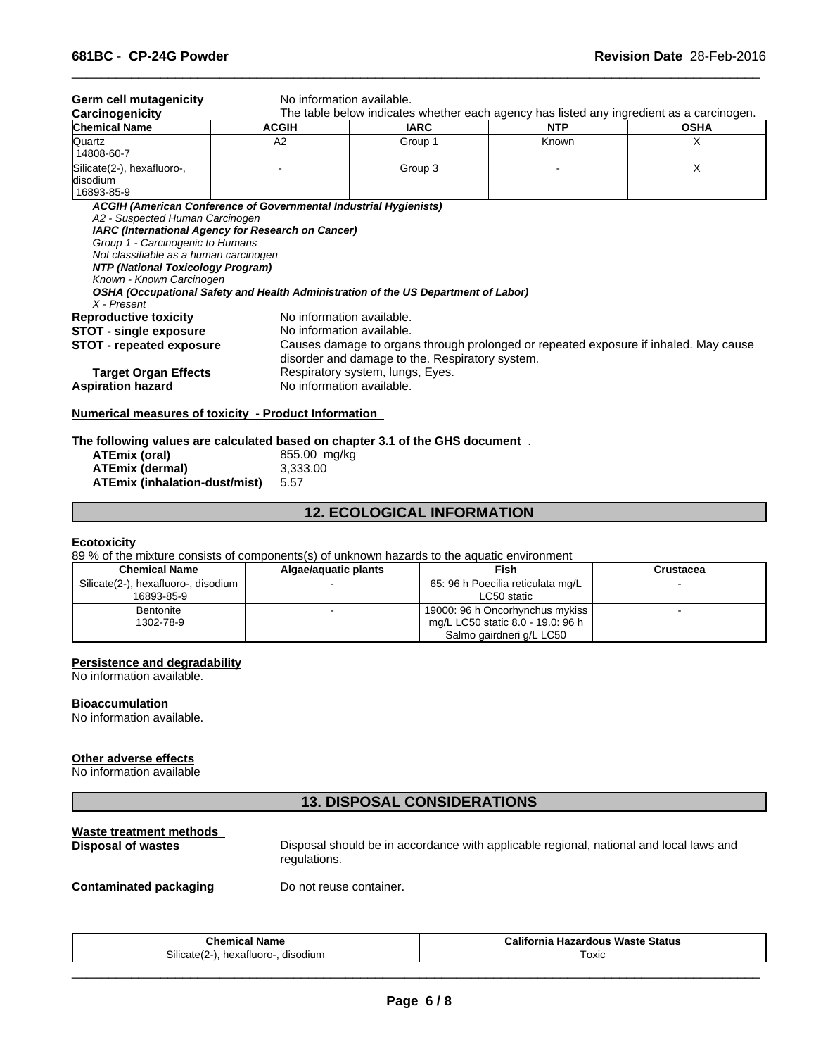| <b>Chemical Name</b>                                                                                                                                                                                               | <b>ACGIH</b>                                           | <b>IARC</b>                                                                                                                             | <b>NTP</b> | <b>OSHA</b> |
|--------------------------------------------------------------------------------------------------------------------------------------------------------------------------------------------------------------------|--------------------------------------------------------|-----------------------------------------------------------------------------------------------------------------------------------------|------------|-------------|
| Quartz<br>14808-60-7                                                                                                                                                                                               | A2                                                     | Group 1                                                                                                                                 | Known      | Х           |
| Silicate(2-), hexafluoro-,<br>ldisodium<br>16893-85-9                                                                                                                                                              |                                                        | Group 3                                                                                                                                 |            | X           |
| IARC (International Agency for Research on Cancer)<br>Group 1 - Carcinogenic to Humans<br>Not classifiable as a human carcinogen<br>NTP (National Toxicology Program)<br>Known - Known Carcinogen<br>$X$ - Present |                                                        | OSHA (Occupational Safety and Health Administration of the US Department of Labor)                                                      |            |             |
| <b>Reproductive toxicity</b><br>STOT - single exposure<br><b>STOT - repeated exposure</b>                                                                                                                          | No information available.<br>No information available. | Causes damage to organs through prolonged or repeated exposure if inhaled. May cause<br>disorder and damage to the. Respiratory system. |            |             |
| <b>Target Organ Effects</b><br><b>Aspiration hazard</b>                                                                                                                                                            | No information available.                              | Respiratory system, lungs, Eyes.                                                                                                        |            |             |

 $\overline{\phantom{a}}$  ,  $\overline{\phantom{a}}$  ,  $\overline{\phantom{a}}$  ,  $\overline{\phantom{a}}$  ,  $\overline{\phantom{a}}$  ,  $\overline{\phantom{a}}$  ,  $\overline{\phantom{a}}$  ,  $\overline{\phantom{a}}$  ,  $\overline{\phantom{a}}$  ,  $\overline{\phantom{a}}$  ,  $\overline{\phantom{a}}$  ,  $\overline{\phantom{a}}$  ,  $\overline{\phantom{a}}$  ,  $\overline{\phantom{a}}$  ,  $\overline{\phantom{a}}$  ,  $\overline{\phantom{a}}$ 

#### **The following values are calculated based on chapter 3.1 of the GHS document** .

| ATEmix (oral)                        | 855.00 mg/kg |
|--------------------------------------|--------------|
| <b>ATEmix (dermal)</b>               | 3.333.00     |
| <b>ATEmix (inhalation-dust/mist)</b> | 5.57         |

# **12. ECOLOGICAL INFORMATION**

#### **Ecotoxicity**

89 % of the mixture consists of components(s) of unknown hazards to the aquatic environment

| <b>Chemical Name</b>                | Algae/aguatic plants | Fish                              | Crustacea |
|-------------------------------------|----------------------|-----------------------------------|-----------|
| Silicate(2-), hexafluoro-, disodium |                      | 65: 96 h Poecilia reticulata mg/L |           |
| 16893-85-9                          |                      | LC50 static                       |           |
| Bentonite                           |                      | 19000: 96 h Oncorhynchus mykiss   |           |
| 1302-78-9                           |                      | mg/L LC50 static 8.0 - 19.0: 96 h |           |
|                                     |                      | Salmo gairdneri g/L LC50          |           |

#### **Persistence and degradability**

No information available.

#### **Bioaccumulation**

No information available.

# **Other adverse effects**

No information available

# **13. DISPOSAL CONSIDERATIONS**

# **Waste treatment methods**

Disposal should be in accordance with applicable regional, national and local laws and regulations.

 $\overline{\phantom{a}}$  ,  $\overline{\phantom{a}}$  ,  $\overline{\phantom{a}}$  ,  $\overline{\phantom{a}}$  ,  $\overline{\phantom{a}}$  ,  $\overline{\phantom{a}}$  ,  $\overline{\phantom{a}}$  ,  $\overline{\phantom{a}}$  ,  $\overline{\phantom{a}}$  ,  $\overline{\phantom{a}}$  ,  $\overline{\phantom{a}}$  ,  $\overline{\phantom{a}}$  ,  $\overline{\phantom{a}}$  ,  $\overline{\phantom{a}}$  ,  $\overline{\phantom{a}}$  ,  $\overline{\phantom{a}}$ 

#### **Contaminated packaging Do not reuse container.**

| Chemical<br>Name                                         | $\cdots$<br><br>Waste Status<br>California<br>Hazardous |
|----------------------------------------------------------|---------------------------------------------------------|
| Silicat<br>. .<br>hexafluoro-<br>disodium<br>11 H<br>. . | coxic                                                   |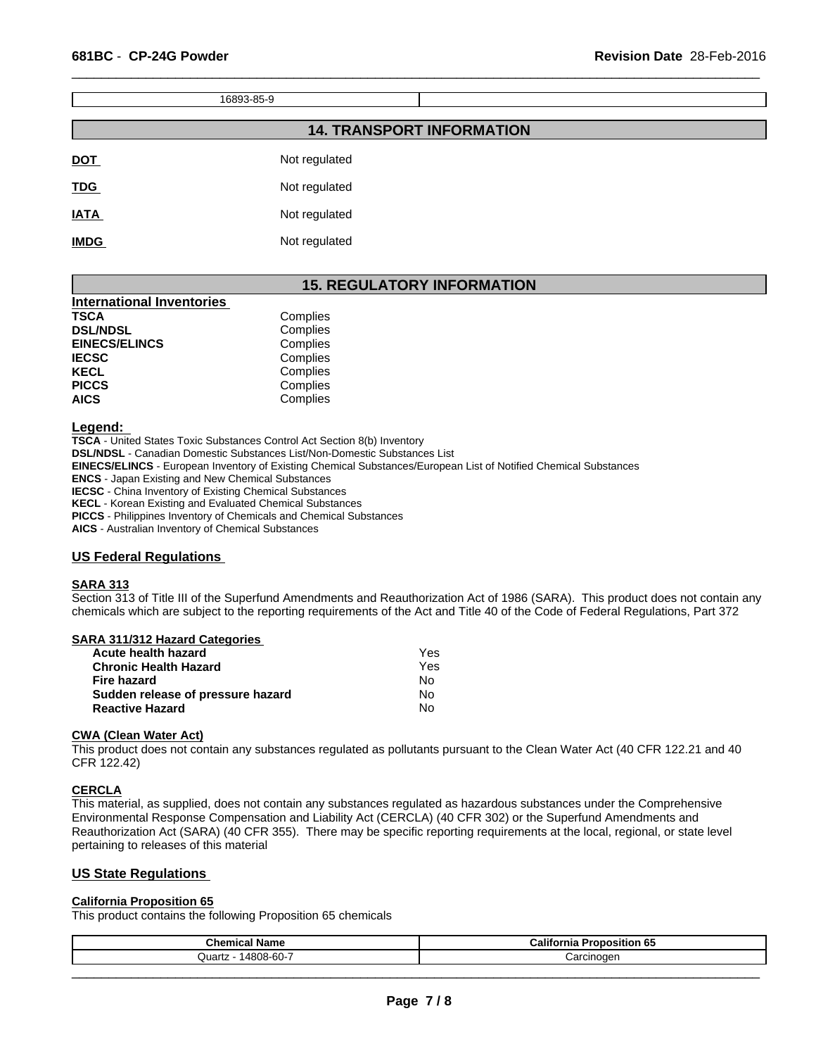16893-85-9 **14. TRANSPORT INFORMATION**

 $\overline{\phantom{a}}$  ,  $\overline{\phantom{a}}$  ,  $\overline{\phantom{a}}$  ,  $\overline{\phantom{a}}$  ,  $\overline{\phantom{a}}$  ,  $\overline{\phantom{a}}$  ,  $\overline{\phantom{a}}$  ,  $\overline{\phantom{a}}$  ,  $\overline{\phantom{a}}$  ,  $\overline{\phantom{a}}$  ,  $\overline{\phantom{a}}$  ,  $\overline{\phantom{a}}$  ,  $\overline{\phantom{a}}$  ,  $\overline{\phantom{a}}$  ,  $\overline{\phantom{a}}$  ,  $\overline{\phantom{a}}$ 

| <b>DOT</b>  | Not regulated |
|-------------|---------------|
| <b>TDG</b>  | Not regulated |
| <b>IATA</b> | Not regulated |
| <b>IMDG</b> | Not regulated |

# **15. REGULATORY INFORMATION**

| <b>International Inventories</b> |          |  |
|----------------------------------|----------|--|
| <b>TSCA</b>                      | Complies |  |
| <b>DSL/NDSL</b>                  | Complies |  |
| <b>EINECS/ELINCS</b>             | Complies |  |
| <b>IECSC</b>                     | Complies |  |
| <b>KECL</b>                      | Complies |  |
| <b>PICCS</b>                     | Complies |  |
| <b>AICS</b>                      | Complies |  |

#### **Legend:**

**TSCA** - United States Toxic Substances Control Act Section 8(b) Inventory **DSL/NDSL** - Canadian Domestic Substances List/Non-Domestic Substances List **EINECS/ELINCS** - European Inventory of Existing Chemical Substances/European List of Notified Chemical Substances **ENCS** - Japan Existing and New Chemical Substances **IECSC** - China Inventory of Existing Chemical Substances **KECL** - Korean Existing and Evaluated Chemical Substances **PICCS** - Philippines Inventory of Chemicals and Chemical Substances **AICS** - Australian Inventory of Chemical Substances

### **US Federal Regulations**

# **SARA 313**

Section 313 of Title III of the Superfund Amendments and Reauthorization Act of 1986 (SARA). This product does not contain any chemicals which are subject to the reporting requirements of the Act and Title 40 of the Code of Federal Regulations, Part 372

| <b>SARA 311/312 Hazard Categories</b> |
|---------------------------------------|
|---------------------------------------|

| Acute health hazard               | Yes |
|-----------------------------------|-----|
| <b>Chronic Health Hazard</b>      | Yes |
| Fire hazard                       | No. |
| Sudden release of pressure hazard | No  |
| <b>Reactive Hazard</b>            | N٥  |

#### **CWA (Clean Water Act)**

This product does not contain any substances regulated as pollutants pursuant to the Clean Water Act (40 CFR 122.21 and 40 CFR 122.42)

#### **CERCLA**

This material, as supplied, does not contain any substances regulated as hazardous substances under the Comprehensive Environmental Response Compensation and Liability Act (CERCLA) (40 CFR 302) or the Superfund Amendments and Reauthorization Act (SARA) (40 CFR 355). There may be specific reporting requirements at the local, regional, or state level pertaining to releases of this material

# **US State Regulations**

#### **California Proposition 65**

This product contains the following Proposition 65 chemicals

| <b>Chemical Name</b>                                          | --<br>---<br>Proposition 65<br><br>California |
|---------------------------------------------------------------|-----------------------------------------------|
| $\sim$ $\sim$<br>$\triangle$ 808-60<br><br>wu.<br>.<br>ິ<br>т | شarcınoαer                                    |
|                                                               |                                               |